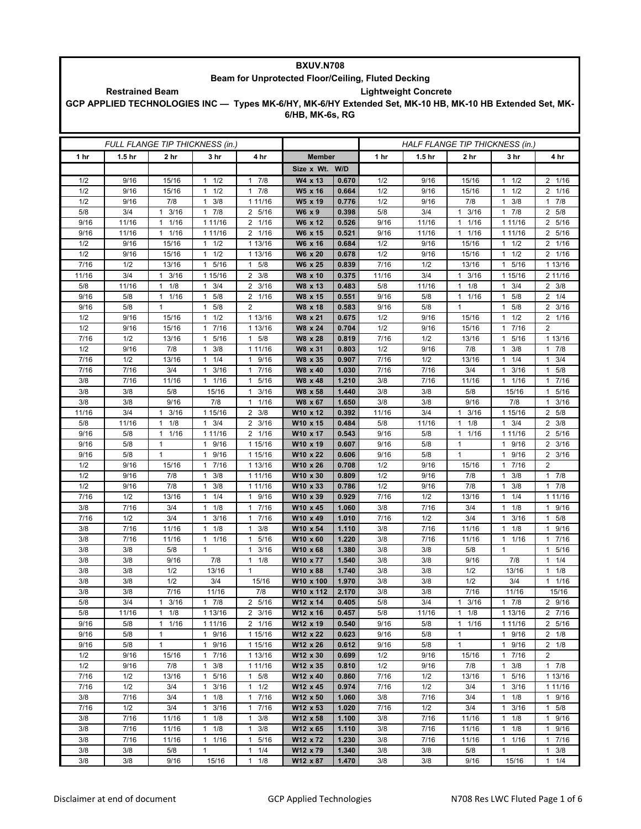| <b>BXUV.N708</b>                                   |                                                       |                      |                                 |                        |                                                                                                          |                |             |                                 |                      |                                   |                                    |  |  |
|----------------------------------------------------|-------------------------------------------------------|----------------------|---------------------------------|------------------------|----------------------------------------------------------------------------------------------------------|----------------|-------------|---------------------------------|----------------------|-----------------------------------|------------------------------------|--|--|
| Beam for Unprotected Floor/Ceiling, Fluted Decking |                                                       |                      |                                 |                        |                                                                                                          |                |             |                                 |                      |                                   |                                    |  |  |
|                                                    | <b>Lightweight Concrete</b><br><b>Restrained Beam</b> |                      |                                 |                        |                                                                                                          |                |             |                                 |                      |                                   |                                    |  |  |
|                                                    |                                                       |                      |                                 |                        | GCP APPLIED TECHNOLOGIES INC - Types MK-6/HY, MK-6/HY Extended Set, MK-10 HB, MK-10 HB Extended Set, MK- |                |             |                                 |                      |                                   |                                    |  |  |
|                                                    |                                                       |                      |                                 |                        | 6/HB, MK-6s, RG                                                                                          |                |             |                                 |                      |                                   |                                    |  |  |
|                                                    |                                                       |                      |                                 |                        |                                                                                                          |                |             |                                 |                      |                                   |                                    |  |  |
|                                                    |                                                       |                      |                                 |                        |                                                                                                          |                |             |                                 |                      |                                   |                                    |  |  |
|                                                    |                                                       |                      | FULL FLANGE TIP THICKNESS (in.) |                        |                                                                                                          |                |             | HALF FLANGE TIP THICKNESS (in.) |                      |                                   |                                    |  |  |
| 1 hr                                               | 1.5 <sub>hr</sub>                                     | 2 hr                 | 3 hr                            | 4 hr                   | <b>Member</b>                                                                                            |                | 1 hr        | 1.5 <sub>hr</sub>               | 2 hr                 | 3 hr                              | 4 hr                               |  |  |
|                                                    |                                                       |                      |                                 |                        | Size x Wt. W/D                                                                                           |                |             |                                 |                      |                                   |                                    |  |  |
| 1/2                                                | 9/16                                                  | 15/16                | $1 \t1/2$                       | 17/8                   | W4 x 13                                                                                                  | 0.670          | 1/2         | 9/16                            | 15/16                | $1 \t1/2$                         | 2 1/16                             |  |  |
| 1/2                                                | 9/16                                                  | 15/16                | 1/2                             | 7/8<br>$\mathbf{1}$    | W5 x 16                                                                                                  | 0.664          | 1/2         | 9/16                            | 15/16                | 1/2<br>$\mathbf{1}$               | 2 1/16                             |  |  |
| 1/2                                                | 9/16                                                  | 7/8                  | 3/8<br>$\mathbf{1}$             | 1 11/16                | W5 x 19                                                                                                  | 0.776          | 1/2         | 9/16                            | 7/8                  | 3/8<br>1                          | 17/8                               |  |  |
| 5/8                                                | 3/4                                                   | 3/16<br>$\mathbf{1}$ | $1 \t7/8$                       | 2 5/16                 | W6 x 9                                                                                                   | 0.398          | 5/8         | 3/4                             | 3/16<br>$\mathbf{1}$ | 17/8                              | 2 5/8                              |  |  |
| 9/16                                               | 11/16                                                 | 1/16<br>1            | 1 11/16                         | 2<br>1/16              | W6 x 12                                                                                                  | 0.526          | 9/16        | 11/16                           | 1/16<br>1            | 1 1 1 / 1 6                       | 2 5/16                             |  |  |
| 9/16                                               | 11/16                                                 | 1/16<br>1            | 1 11/16                         | 2 1/16                 | W6 x 15                                                                                                  | 0.521          | 9/16        | 11/16                           | 1/16<br>$\mathbf{1}$ | 1 1 1 / 1 6                       | 2 5/16                             |  |  |
| 1/2                                                | 9/16                                                  | 15/16                | $1 \t1/2$                       | 1 13/16                | W6 x 16                                                                                                  | 0.684          | 1/2         | 9/16                            | 15/16                | 1/2<br>$\mathbf{1}$               | 2 1/16                             |  |  |
| 1/2                                                | 9/16                                                  | 15/16                | 1/2<br>1                        | 1 13/16                | W6 x 20                                                                                                  | 0.678          | 1/2         | 9/16                            | 15/16                | 1/2<br>1                          | 2 1/16                             |  |  |
| 7/16                                               | 1/2                                                   | 13/16                | 5/16<br>$\mathbf{1}$            | 5/8<br>1               | W6 x 25                                                                                                  | 0.839          | 7/16        | 1/2                             | 13/16                | 5/16<br>$\mathbf{1}$              | 1 13/16                            |  |  |
| 11/16                                              | 3/4                                                   | 3/16<br>$\mathbf{1}$ | 1 15/16                         | $\overline{2}$<br>3/8  | W8 x 10                                                                                                  | 0.375          | 11/16       | 3/4                             | 3/16<br>1            | 1 15/16                           | 2 11/16                            |  |  |
| 5/8                                                | 11/16                                                 | 1/8<br>$\mathbf{1}$  | 3/4<br>$\mathbf{1}$             | $\overline{2}$<br>3/16 | W8 x 13                                                                                                  | 0.483          | 5/8         | 11/16                           | 1/8<br>$\mathbf{1}$  | 3/4<br>1                          | $2 \frac{3}{8}$                    |  |  |
| 9/16                                               | 5/8                                                   | 1/16<br>1            | 5/8<br>$\mathbf{1}$             | 1/16<br>2              | W8 x 15                                                                                                  | 0.551          | 9/16        | 5/8                             | 1<br>1/16            | 5/8<br>1                          | $2 \t1/4$                          |  |  |
| 9/16                                               | 5/8                                                   | 1                    | 5/8<br>1                        | $\overline{2}$         | W8 x 18                                                                                                  | 0.583          | 9/16        | 5/8                             | $\mathbf{1}$         | 1<br>5/8                          | $\overline{2}$<br>3/16             |  |  |
| 1/2                                                | 9/16                                                  | 15/16                | 1/2<br>1                        | 1 13/16                | W8 x 21                                                                                                  | 0.675          | 1/2         | 9/16                            | 15/16                | 1/2<br>1                          | 2 1/16                             |  |  |
| 1/2                                                | 9/16                                                  | 15/16                | 7/16<br>$\mathbf{1}$            | 1 13/16                | W8 x 24                                                                                                  | 0.704          | 1/2         | 9/16                            | 15/16                | 7/16<br>$\mathbf{1}$              | $\overline{2}$                     |  |  |
| 7/16                                               | 1/2                                                   | 13/16                | 5/16<br>1                       | 5/8<br>$\mathbf{1}$    | W8 x 28                                                                                                  | 0.819          | 7/16        | 1/2                             | 13/16                | 5/16<br>1                         | 1 13/16                            |  |  |
| 1/2                                                | 9/16                                                  | 7/8                  | 3/8<br>1                        | 1 11/16                | W8 x 31                                                                                                  | 0.803          | 1/2         | 9/16                            | 7/8                  | 3/8<br>1                          | 17/8                               |  |  |
| 7/16                                               | 1/2                                                   | 13/16                | 1/4<br>$\mathbf{1}$             | 9/16<br>$\mathbf{1}$   | W8 x 35                                                                                                  | 0.907          | 7/16        | 1/2                             | 13/16                | 1/4<br>$\mathbf{1}$               | 3/4<br>$\mathbf{1}$                |  |  |
| 7/16                                               | 7/16                                                  | 3/4                  | 3/16<br>$\mathbf{1}$            | 7/16<br>$\mathbf{1}$   | W8 x 40                                                                                                  | 1.030          | 7/16        | 7/16                            | 3/4                  | $\mathbf{1}$<br>3/16              | 1 5/8                              |  |  |
| 3/8                                                | 7/16                                                  | 11/16                | 11/16                           | 5/16<br>1              | W8 x 48                                                                                                  | 1.210          | 3/8         | 7/16                            | 11/16                | 1/16<br>1                         | 7/16<br>1                          |  |  |
| 3/8                                                | 3/8                                                   | 5/8                  | 15/16                           | 3/16<br>$\mathbf{1}$   | W8 x 58                                                                                                  | 1.440          | 3/8         | 3/8                             | 5/8                  | 15/16                             | 5/16<br>1                          |  |  |
| 3/8                                                | 3/8                                                   | 9/16                 | 7/8                             | 1/16<br>$\mathbf{1}$   | W8 x 67                                                                                                  | 1.650          | 3/8         | 3/8                             | 9/16                 | 7/8                               | 3/16<br>$\mathbf{1}$               |  |  |
| 11/16                                              | 3/4                                                   | 3/16<br>1            | 1 15/16                         | 3/8<br>$\overline{2}$  | W10 x 12                                                                                                 | 0.392          | 11/16       | 3/4                             | 3/16<br>1            | 1 15/16                           | 2 5/8                              |  |  |
| 5/8                                                | 11/16                                                 | 1/8<br>1             | 3/4<br>1                        | 3/16<br>2              | W10 x 15                                                                                                 | 0.484          | 5/8         | 11/16                           | 1/8<br>1             | 3/4<br>1                          | $\overline{2}$<br>3/8              |  |  |
| 9/16                                               | 5/8                                                   | 1/16<br>$\mathbf{1}$ | 1 11/16                         | $2 \t1/16$             | W10 x 17                                                                                                 | 0.543          | 9/16        | 5/8                             | 1/16<br>$\mathbf{1}$ | 1 11/16                           | 2 5/16                             |  |  |
| 9/16<br>9/16                                       | 5/8<br>5/8                                            | 1<br>1               | 1 9/16<br>1                     | 1 15/16                | W10 x 19                                                                                                 | 0.607<br>0.606 | 9/16        | 5/8<br>5/8                      | 1<br>1               | 9/16<br>$\mathbf{1}$<br>1         | $2 \frac{3}{16}$<br>$\overline{2}$ |  |  |
| 1/2                                                | 9/16                                                  | 15/16                | 9/16<br>7/16<br>$\mathbf{1}$    | 1 15/16<br>1 13/16     | W10 x 22<br>W10 x 26                                                                                     | 0.708          | 9/16<br>1/2 | 9/16                            | 15/16                | 9/16<br>$7/16$<br>$\mathbf{1}$    | 3/16<br>$\overline{2}$             |  |  |
| 1/2                                                | 9/16                                                  | 7/8                  | 3/8<br>$\mathbf{1}$             | 1 11/16                | W10 x 30                                                                                                 | 0.809          | 1/2         | 9/16                            | 7/8                  | 3/8<br>1                          | 17/8                               |  |  |
| 1/2                                                | 9/16                                                  | 7/8                  | 3/8<br>1                        | 1 11/16                | W10 x 33                                                                                                 | 0.786          | 1/2         | 9/16                            | 7/8                  | 3/8<br>1                          | 17/8                               |  |  |
| 7/16                                               | 1/2                                                   | 13/16                | 1/4<br>1                        | 9/16<br>$\mathbf{1}$   | W10 x 39                                                                                                 | 0.929          | 7/16        | 1/2                             | 13/16                | 1/4<br>$\overline{1}$             | 1 1 1 / 16                         |  |  |
| 3/8                                                | 7/16                                                  | 3/4                  | 1/8<br>$\mathbf{1}$             | 7/16<br>$\mathbf{1}$   | W10 x 45                                                                                                 | 1.060          | 3/8         | 7/16                            | 3/4                  | 1/8<br>$\mathbf{1}$               | 1 9/16                             |  |  |
| 7/16                                               | 1/2                                                   | 3/4                  | 3/16<br>1                       | 7/16<br>$\mathbf{1}$   | W10 x 49                                                                                                 | 1.010          | 7/16        | 1/2                             | 3/4                  | 3/16<br>$\mathbf{1}$              | $1 \t5/8$                          |  |  |
| 3/8                                                | 7/16                                                  | 11/16                | $1 \t1/8$                       | 3/8<br>$\mathbf{1}$    | W10 x 54                                                                                                 | 1.110          | 3/8         | $7/16$                          | 11/16                | 1/8<br>$\mathbf{1}$               | 9/16<br>$\mathbf{1}$               |  |  |
| 3/8                                                | 7/16                                                  | 11/16                | $1 \t1/16$                      | 1 5/16                 | W10 x 60                                                                                                 | 1.220          | 3/8         | 7/16                            | 11/16                | 1 1/16                            | 17/16                              |  |  |
| 3/8                                                | 3/8                                                   | 5/8                  | $\mathbf{1}$                    | 3/16<br>$\mathbf{1}$   | W10 x 68                                                                                                 | 1.380          | 3/8         | 3/8                             | 5/8                  | $\mathbf{1}$                      | 1 5/16                             |  |  |
| 3/8                                                | 3/8                                                   | 9/16                 | 7/8                             | $1 \t1/8$              | W10 x 77                                                                                                 | 1.540          | 3/8         | 3/8                             | 9/16                 | 7/8                               | $1 \t1/4$                          |  |  |
| 3/8                                                | 3/8                                                   | 1/2                  | 13/16                           | $\mathbf{1}$           | W10 x 88                                                                                                 | 1.740          | 3/8         | 3/8                             | 1/2                  | 13/16                             | $1 \t1/8$                          |  |  |
| 3/8                                                | 3/8                                                   | 1/2                  | 3/4                             | 15/16                  | W10 x 100                                                                                                | 1.970          | 3/8         | 3/8                             | 1/2                  | 3/4                               | $1 \t1/16$                         |  |  |
| 3/8                                                | 3/8                                                   | 7/16                 | 11/16                           | 7/8                    | W10 x 112                                                                                                | 2.170          | 3/8         | 3/8                             | 7/16                 | 11/16                             | 15/16                              |  |  |
| 5/8                                                | 3/4                                                   | 3/16<br>1            | $1 \t7/8$                       | 2 5/16                 | W12 x 14                                                                                                 | 0.405          | 5/8         | 3/4                             | $\mathbf{1}$<br>3/16 | 17/8                              | 2 9/16                             |  |  |
| 5/8                                                | 11/16                                                 | 1/8<br>1             | 1 13/16                         | $2 \frac{3}{16}$       | W12 x 16                                                                                                 | 0.457          | 5/8         | 11/16                           | $1 \t1/8$            | 1 13/16                           | 2 7/16                             |  |  |
| 9/16                                               | 5/8                                                   | 1/16<br>$\mathbf{1}$ | 1 11/16                         | 2 1/16                 | W12 x 19                                                                                                 | 0.540          | 9/16        | 5/8                             | 1/16<br>$\mathbf{1}$ | 1 1 1 / 16                        | 2 5/16                             |  |  |
| 9/16                                               | 5/8                                                   | $\mathbf{1}$         | 1 9/16                          | 1 15/16                | W12 x 22                                                                                                 | 0.623          | 9/16        | 5/8                             | $\mathbf{1}$         | 1 9/16                            | $2 \t1/8$                          |  |  |
| 9/16                                               | 5/8                                                   | $\mathbf{1}$         | 1 9/16                          | 1 15/16                | W12 x 26                                                                                                 | 0.612          | 9/16        | 5/8                             | $\mathbf{1}$         | 1 9/16                            | $2 \t1/8$                          |  |  |
| 1/2                                                | 9/16                                                  | 15/16                | 17/16                           | 1 13/16                | W12 x 30                                                                                                 | 0.699          | 1/2         | 9/16                            | 15/16                | 7/16<br>$\mathbf{1}$              | $\overline{2}$                     |  |  |
| 1/2                                                | 9/16                                                  | 7/8                  | 3/8<br>$\mathbf{1}$             | 1 11/16                | W12 x 35                                                                                                 | 0.810          | 1/2         | 9/16                            | 7/8                  | 3/8<br>$\mathbf{1}$               | 17/8                               |  |  |
| 7/16                                               | 1/2<br>1/2                                            | 13/16                | 1 5/16                          | $1 \t5/8$              | W12 x 40                                                                                                 | 0.860          | 7/16        | 1/2                             | 13/16                | 1 5/16                            | 1 13/16                            |  |  |
| 7/16<br>3/8                                        |                                                       | 3/4                  | 3/16<br>1                       | $1 \t1/2$              | W12 x 45                                                                                                 | 0.974          | 7/16        | 1/2                             | 3/4                  | $\mathbf{1}$<br>3/16              | 1 1 1 / 1 6                        |  |  |
| 7/16                                               | 7/16<br>1/2                                           | 3/4<br>3/4           | $1 \t1/8$<br>$1 \t3/16$         | 17/16<br>17/16         | W12 x 50<br>W12 x 53                                                                                     | 1.060<br>1.020 | 3/8<br>7/16 | 7/16<br>1/2                     | 3/4<br>3/4           | 1/8<br>$\mathbf{1}$<br>$1 \t3/16$ | 1 9/16<br>$1 \t5/8$                |  |  |
| 3/8                                                | 7/16                                                  | 11/16                | 1/8<br>1                        | 3/8<br>$\mathbf{1}$    | W12 x 58                                                                                                 | 1.100          | 3/8         | 7/16                            | 11/16                | 1/8<br>$\mathbf{1}$               | 1 9/16                             |  |  |
| 3/8                                                | 7/16                                                  | 11/16                | $1 \t1/8$                       | $\mathbf{1}$<br>3/8    | W12 x 65                                                                                                 | 1.110          | 3/8         | 7/16                            | 11/16                | $1 \t1/8$                         | 1 9/16                             |  |  |
| 3/8                                                | 7/16                                                  | 11/16                | $1 \t1/16$                      | 5/16<br>$\mathbf{1}$   | W12 x 72                                                                                                 | 1.230          | 3/8         | 7/16                            | 11/16                | 1 1/16                            | 17/16                              |  |  |
| 3/8                                                | 3/8                                                   | 5/8                  | $\mathbf{1}$                    | $1 \t1/4$              | W12 x 79                                                                                                 | 1.340          | 3/8         | 3/8                             | 5/8                  | 1                                 | $1 \t3/8$                          |  |  |
| 3/8                                                | 3/8                                                   | 9/16                 | 15/16                           | $1 \t1/8$              | W12 x 87                                                                                                 | 1.470          | 3/8         | 3/8                             | 9/16                 | 15/16                             | $1 \quad 1/\overline{4}$           |  |  |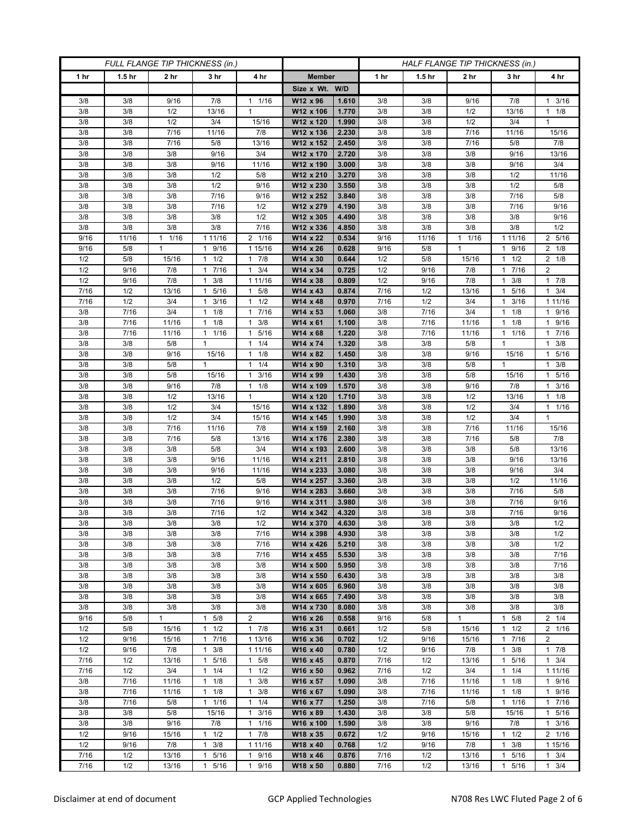| FULL FLANGE TIP THICKNESS (in.) |                   |                 |                                  |                                 | HALF FLANGE TIP THICKNESS (in.) |                |              |                   |                    |                                  |                         |
|---------------------------------|-------------------|-----------------|----------------------------------|---------------------------------|---------------------------------|----------------|--------------|-------------------|--------------------|----------------------------------|-------------------------|
| 1 hr                            | 1.5 <sub>hr</sub> | 2 <sub>hr</sub> | 3 <sub>hr</sub>                  | 4 hr                            | <b>Member</b>                   |                | 1 hr         | 1.5 <sub>hr</sub> | 2 <sub>hr</sub>    | 3 hr                             | 4 hr                    |
|                                 |                   |                 |                                  |                                 | Size x Wt. W/D                  |                |              |                   |                    |                                  |                         |
| 3/8                             | 3/8               | 9/16            | 7/8                              | 1/16<br>1                       | W12 x 96                        | 1.610          | 3/8          | 3/8               | 9/16               | 7/8                              | $1 \t3/16$              |
| 3/8                             | 3/8               | 1/2             | 13/16                            | $\mathbf{1}$                    | W12 x 106                       | 1.770          | 3/8          | 3/8               | 1/2                | 13/16                            | $1 \t1/8$               |
| 3/8                             | 3/8               | 1/2             | 3/4                              | 15/16                           | W12 x 120                       | 1.990          | 3/8          | 3/8               | 1/2                | 3/4                              | $\mathbf{1}$            |
| 3/8                             | 3/8               | 7/16            | 11/16                            | 7/8                             | W12 x 136                       | 2.230          | 3/8          | 3/8               | 7/16               | 11/16                            | 15/16                   |
| 3/8                             | 3/8               | 7/16            | 5/8                              | 13/16                           | W12 x 152                       | 2.450          | 3/8          | 3/8               | 7/16               | 5/8                              | 7/8                     |
| 3/8<br>3/8                      | 3/8<br>3/8        | 3/8<br>3/8      | 9/16<br>9/16                     | 3/4<br>11/16                    | W12 x 170<br>W12 x 190          | 2.720<br>3.000 | 3/8<br>3/8   | 3/8<br>3/8        | 3/8<br>3/8         | 9/16<br>9/16                     | 13/16<br>3/4            |
| 3/8                             | 3/8               | 3/8             | 1/2                              | 5/8                             | W12 x 210                       | 3.270          | 3/8          | 3/8               | 3/8                | 1/2                              | 11/16                   |
| 3/8                             | 3/8               | 3/8             | 1/2                              | 9/16                            | W12 x 230                       | 3.550          | 3/8          | 3/8               | 3/8                | 1/2                              | 5/8                     |
| 3/8                             | 3/8               | 3/8             | 7/16                             | 9/16                            | W12 x 252                       | 3.840          | 3/8          | 3/8               | 3/8                | 7/16                             | 5/8                     |
| 3/8                             | 3/8               | 3/8             | 7/16                             | 1/2                             | W12 x 279                       | 4.190          | 3/8          | 3/8               | 3/8                | 7/16                             | 9/16                    |
| 3/8                             | 3/8               | 3/8             | 3/8                              | 1/2                             | W12 x 305                       | 4.490          | 3/8          | 3/8               | 3/8                | 3/8                              | 9/16                    |
| 3/8                             | 3/8               | 3/8             | 3/8                              | 7/16                            | W12 x 336                       | 4.850          | 3/8          | 3/8               | 3/8                | 3/8                              | 1/2                     |
| 9/16                            | 11/16             | $1 \t1/16$      | 1 11/16                          | 2 1/16                          | W14 x 22                        | 0.534          | 9/16         | 11/16             | $1 \t1/16$         | 1 1 1 / 16                       | 2 5/16                  |
| 9/16                            | 5/8               | 1               | 9/16<br>$\mathbf{1}$             | 1 15/16                         | W14 x 26                        | 0.628          | 9/16         | 5/8               | $\mathbf{1}$       | 9/16                             | $2 \t1/8$               |
| 1/2                             | 5/8               | 15/16           | 1/2<br>$\mathbf{1}$              | 7/8<br>$\mathbf{1}$             | W14 x 30                        | 0.644          | 1/2          | 5/8               | 15/16              | 1/2<br>1                         | $2 \t1/8$               |
| 1/2                             | 9/16              | 7/8             | 7/16<br>$\mathbf{1}$             | 3/4<br>$\mathbf{1}$             | W14 x 34                        | 0.725          | 1/2          | 9/16              | 7/8                | 7/16<br>1                        | $\overline{2}$          |
| 1/2<br>7/16                     | 9/16<br>1/2       | 7/8             | $1 \t3/8$<br>$\mathbf{1}$        | 1 11/16<br>5/8<br>$\mathbf{1}$  | W14 x 38                        | 0.809<br>0.874 | 1/2<br>7/16  | 9/16              | 7/8                | 3/8<br>$\mathbf{1}$<br>1.        | 17/8                    |
| 7/16                            | 1/2               | 13/16<br>3/4    | 5/16<br>3/16<br>1                | 1/2<br>$\mathbf{1}$             | W14 x 43<br>W14 x 48            | 0.970          | 7/16         | 1/2<br>1/2        | 13/16<br>3/4       | 5/16<br>3/16<br>1                | $1 \t3/4$<br>1 1 1 / 16 |
| 3/8                             | 7/16              | 3/4             | $1 \t1/8$                        | 7/16<br>$\mathbf{1}$            | W14 x 53                        | 1.060          | $3/8$        | 7/16              | 3/4                | 1/8<br>1                         | 1 9/16                  |
| 3/8                             | 7/16              | 11/16           | $1 \t1/8$                        | 3/8<br>1                        | W14 x 61                        | 1.100          | 3/8          | 7/16              | 11/16              | $1 \t1/8$                        | 1 9/16                  |
| 3/8                             | 7/16              | 11/16           | 1/16<br>1                        | 5/16<br>$\mathbf{1}$            | W14 x 68                        | 1.220          | 3/8          | 7/16              | 11/16              | 1/16<br>1                        | 17/16                   |
| 3/8                             | 3/8               | 5/8             | $\mathbf{1}$                     | 1/4<br>$\mathbf{1}$             | W14 x 74                        | 1.320          | 3/8          | 3/8               | 5/8                | $\mathbf{1}$                     | $1 \t3/8$               |
| 3/8                             | 3/8               | 9/16            | 15/16                            | 1/8<br>1                        | W14 x 82                        | 1.450          | 3/8          | 3/8               | 9/16               | 15/16                            | 1 5/16                  |
| 3/8                             | 3/8               | 5/8             | 1                                | 1/4<br>$\mathbf{1}$             | W14 x 90                        | 1.310          | 3/8          | 3/8               | 5/8                | 1                                | 3/8<br>$\mathbf{1}$     |
| 3/8                             | 3/8               | 5/8             | 15/16                            | 3/16<br>$\mathbf{1}$            | W14 x 99                        | 1.430          | 3/8          | 3/8               | 5/8                | 15/16                            | 1 5/16                  |
| 3/8                             | 3/8               | 9/16            | 7/8                              | 1/8<br>$\mathbf{1}$             | W14 x 109                       | 1.570          | 3/8          | 3/8               | 9/16               | 7/8                              | $1 \t3/16$              |
| 3/8                             | 3/8               | 1/2             | 13/16                            | $\mathbf{1}$                    | W14 x 120                       | 1.710          | 3/8          | 3/8               | 1/2                | 13/16                            | $1 \t1/8$               |
| 3/8                             | 3/8               | 1/2             | 3/4                              | 15/16                           | W14 x 132                       | 1.890          | 3/8          | 3/8               | 1/2                | 3/4                              | 11/16                   |
| 3/8<br>3/8                      | 3/8<br>3/8        | 1/2<br>7/16     | 3/4<br>11/16                     | 15/16<br>7/8                    | W14 x 145<br>W14 x 159          | 1.990<br>2.160 | 3/8<br>3/8   | 3/8<br>3/8        | 1/2<br>7/16        | 3/4<br>11/16                     | $\mathbf{1}$<br>15/16   |
| 3/8                             | 3/8               | 7/16            | 5/8                              | 13/16                           | W14 x 176                       | 2.380          | 3/8          | 3/8               | 7/16               | 5/8                              | 7/8                     |
| 3/8                             | 3/8               | 3/8             | 5/8                              | 3/4                             | W14 x 193                       | 2.600          | 3/8          | 3/8               | 3/8                | 5/8                              | 13/16                   |
| 3/8                             | 3/8               | 3/8             | 9/16                             | 11/16                           | W14 x 211                       | 2.810          | 3/8          | 3/8               | 3/8                | 9/16                             | 13/16                   |
| 3/8                             | 3/8               | 3/8             | 9/16                             | 11/16                           | W14 x 233                       | 3.080          | 3/8          | 3/8               | 3/8                | 9/16                             | 3/4                     |
| 3/8                             | 3/8               | 3/8             | 1/2                              | 5/8                             | W14 x 257                       | 3.360          | 3/8          | 3/8               | 3/8                | 1/2                              | 11/16                   |
| 3/8                             | 3/8               | 3/8             | 7/16                             | 9/16                            | W14 x 283                       | 3.660          | 3/8          | 3/8               | 3/8                | 7/16                             | 5/8                     |
| 3/8                             | 3/8               | 3/8             | 7/16                             | 9/16                            | W14 x 311                       | 3.980          | 3/8          | 3/8               | 3/8                | 7/16                             | 9/16                    |
| 3/8                             | 3/8               | 3/8             | 7/16                             | 1/2                             | W14 x 342                       | 4.320          | 3/8          | 3/8               | 3/8                | 7/16                             | 9/16                    |
| 3/8                             | 3/8               | 3/8             | 3/8                              | 1/2                             | W14 x 370                       | 4.630          | 3/8          | 3/8               | 3/8                | 3/8                              | 1/2                     |
| 3/8<br>3/8                      | 3/8<br>3/8        | 3/8<br>3/8      | 3/8<br>3/8                       | 7/16<br>7/16                    | W14 x 398<br>W14 x 426          | 4.930<br>5.210 | 3/8<br>3/8   | 3/8<br>3/8        | 3/8<br>3/8         | 3/8<br>3/8                       | 1/2<br>1/2              |
| 3/8                             | 3/8               | 3/8             | 3/8                              | 7/16                            | W14 x 455                       | 5.530          | 3/8          | 3/8               | 3/8                | 3/8                              | 7/16                    |
| 3/8                             | 3/8               | 3/8             | 3/8                              | 3/8                             | W14 x 500                       | 5.950          | 3/8          | 3/8               | 3/8                | 3/8                              | 7/16                    |
| 3/8                             | 3/8               | 3/8             | 3/8                              | 3/8                             | W14 x 550                       | 6.430          | 3/8          | 3/8               | 3/8                | 3/8                              | 3/8                     |
| 3/8                             | 3/8               | 3/8             | 3/8                              | 3/8                             | W14 x 605                       | 6.960          | 3/8          | 3/8               | 3/8                | 3/8                              | 3/8                     |
| 3/8                             | 3/8               | 3/8             | 3/8                              | 3/8                             | W14 x 665                       | 7.490          | 3/8          | 3/8               | 3/8                | 3/8                              | 3/8                     |
| 3/8                             | 3/8               | 3/8             | 3/8                              | 3/8                             | W14 x 730                       | 8.080          | 3/8          | 3/8               | 3/8                | 3/8                              | 3/8                     |
| 9/16                            | 5/8               | 1               | 5/8<br>1                         | $\overline{c}$                  | W16 x 26                        | 0.558          | 9/16         | 5/8               | $\mathbf{1}$       | $1 \t5/8$                        | $2 \t1/4$               |
| 1/2                             | 5/8               | 15/16           | 1/2<br>1                         | $1 \t7/8$                       | W16 x 31                        | 0.661          | 1/2          | 5/8               | 15/16              | 1/2<br>1                         | 2 1/16                  |
| 1/2                             | 9/16              | 15/16           | 17/16                            | 1 13/16                         | W16 x 36                        | 0.702          | 1/2          | 9/16              | 15/16              | 7/16<br>$\mathbf{1}$             | $\overline{2}$          |
| 1/2                             | 9/16              | 7/8             | $1 \t3/8$                        | 1 11/16                         | W16 x 40                        | 0.780          | 1/2          | 9/16              | 7/8                | $1 \t3/8$                        | 17/8                    |
| 7/16<br>7/16                    | 1/2<br>1/2        | 13/16<br>3/4    | 5/16<br>1<br>1/4<br>$\mathbf{1}$ | 5/8<br>1<br>$\mathbf{1}$<br>1/2 | W16 x 45<br>W16 x 50            | 0.870<br>0.962 | 7/16<br>7/16 | 1/2<br>1/2        | 13/16<br>3/4       | 5/16<br>1<br>1/4<br>$\mathbf{1}$ | $1 \t3/4$<br>1 11/16    |
| 3/8                             | 7/16              | 11/16           | 1/8<br>$\mathbf{1}$              | 3/8<br>$\mathbf{1}$             | W16 x 57                        | 1.090          | 3/8          | 7/16              | 11/16              | $1 \t1/8$                        | 1 9/16                  |
| 3/8                             | 7/16              | 11/16           | $1 \t1/8$                        | 3/8<br>$\mathbf{1}$             | W16 x 67                        | 1.090          | 3/8          | 7/16              | 11/16              | $1 \t1/8$                        | 1 9/16                  |
| 3/8                             | 7/16              | 5/8             | 1 1/16                           | 1/4<br>1                        | W16 x 77                        | 1.250          | 3/8          | 7/16              | 5/8                | $1 \t1/16$                       | 17/16                   |
| 3/8                             | 3/8               | 5/8             | 15/16                            | 3/16<br>$\mathbf{1}$            | W16 x 89                        | 1.430          | 3/8          | 3/8               | 5/8                | 15/16                            | 1 5/16                  |
| 3/8                             | 3/8               | 9/16            | 7/8                              | 1/16<br>$\mathbf{1}$            | W16 x 100                       | 1.590          | 3/8          | 3/8               | 9/16               | 7/8                              | $1 \t3/16$              |
| 1/2                             | 9/16              | 15/16           | 1/2<br>$\mathbf{1}$              | 7/8<br>$\mathbf{1}$             | W18 x 35                        | 0.672          | 1/2          | 9/16              | 15/16              | $1 \t1/2$                        | 2 1/16                  |
| 1/2                             | 9/16              | 7/8             | 3/8<br>1                         | 1 1 1 / 16                      | W18 x 40                        | 0.768          | 1/2          | 9/16              | 7/8                | 3/8                              | 1 15/16                 |
| 7/16                            | 1/2               | 13/16           | 5/16<br>1                        | 9/16<br>1                       | W18 x 46                        | 0.876          | 7/16         | 1/2               | 13/16              | 5/16<br>1                        | $1 \t3/4$               |
| 7/16                            | 1/2               | 13/16           | 5/16<br>$\mathbf{1}$             | 9/16<br>$\mathbf{1}$            | W18 x 50                        | 0.880          | 7/16         | 1/2               | $\overline{13/16}$ | 5/16<br>1                        | $1 \t3/4$               |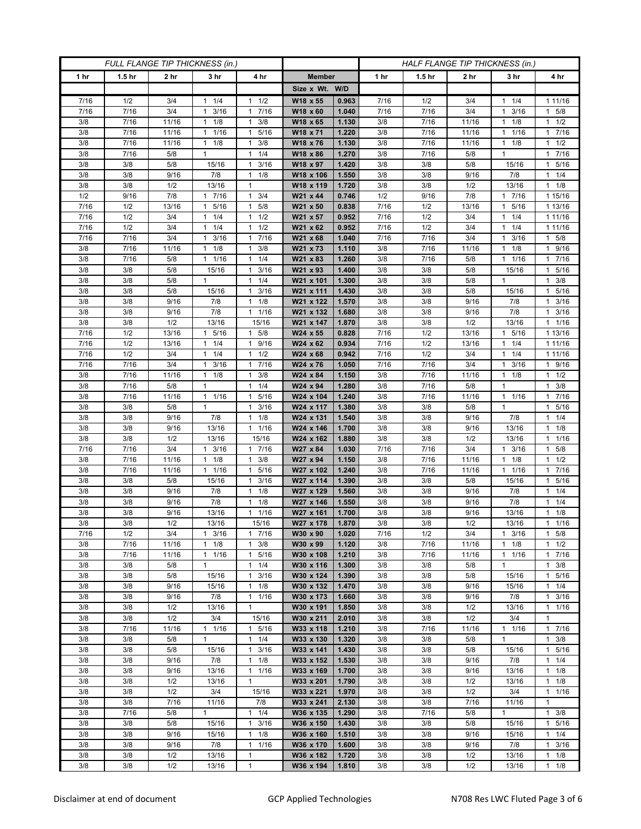| FULL FLANGE TIP THICKNESS (in.) |                   |                 |                                   |                                   | HALF FLANGE TIP THICKNESS (in.) |                |             |                   |             |                                   |                          |
|---------------------------------|-------------------|-----------------|-----------------------------------|-----------------------------------|---------------------------------|----------------|-------------|-------------------|-------------|-----------------------------------|--------------------------|
| 1 hr                            | 1.5 <sub>hr</sub> | 2 <sub>hr</sub> | 3 <sub>hr</sub>                   | 4 hr                              | <b>Member</b>                   |                | 1 hr        | 1.5 <sub>hr</sub> | 2 hr        | 3 hr                              | 4 hr                     |
|                                 |                   |                 |                                   |                                   | Size x Wt. W/D                  |                |             |                   |             |                                   |                          |
| 7/16                            | 1/2               | 3/4             | 1/4<br>1                          | 1/2<br>1                          | W18 x 55                        | 0.963          | 7/16        | 1/2               | 3/4         | 1/4<br>1                          | 1 11/16                  |
| 7/16                            | 7/16              | 3/4             | 3/16<br>$\mathbf{1}$              | 7/16<br>$\mathbf{1}$              | W18 x 60                        | 1.040          | 7/16        | 7/16              | 3/4         | 3/16<br>1                         | $1 \t5/8$                |
| 3/8                             | 7/16              | 11/16           | $1 \t1/8$                         | 3/8<br>1                          | W18 x 65                        | 1.130          | 3/8         | 7/16              | 11/16       | $1 \t1/8$                         | $1 \t1/2$                |
| 3/8                             | 7/16              | 11/16           | 1/16<br>1                         | 5/16<br>1                         | W18 x 71                        | 1.220          | 3/8         | 7/16              | 11/16       | 1/16<br>1                         | 1 7/16                   |
| 3/8                             | 7/16              | 11/16           | 1/8<br>$\mathbf{1}$               | 3/8<br>$\mathbf{1}$               | W18 x 76                        | 1.130          | 3/8         | 7/16              | 11/16       | 1/8<br>$\mathbf{1}$               | 1/2<br>$\mathbf{1}$      |
| 3/8                             | 7/16              | 5/8             | $\mathbf{1}$                      | 1/4<br>$\mathbf{1}$               | W18 x 86                        | 1.270          | 3/8         | 7/16              | 5/8         | $\mathbf{1}$                      | 1 7/16                   |
| 3/8<br>3/8                      | 3/8<br>3/8        | 5/8<br>9/16     | 15/16<br>7/8                      | 3/16<br>1<br>1/8<br>1             | W18 x 97<br>W18 x 106           | 1.420<br>1.550 | 3/8<br>3/8  | 3/8<br>3/8        | 5/8<br>9/16 | 15/16<br>7/8                      | 1 5/16<br>$1 \t1/4$      |
| 3/8                             | 3/8               | 1/2             | 13/16                             | 1                                 | W18 x 119                       | 1.720          | 3/8         | 3/8               | 1/2         | 13/16                             | $1 \t1/8$                |
| 1/2                             | 9/16              | 7/8             | 1 7/16                            | 3/4<br>$\mathbf{1}$               | W21 x 44                        | 0.746          | 1/2         | 9/16              | 7/8         | 1 7/16                            | 1 15/16                  |
| 7/16                            | 1/2               | 13/16           | 5/16<br>$\mathbf{1}$              | 5/8<br>1                          | W21 x 50                        | 0.838          | 7/16        | 1/2               | 13/16       | 5/16<br>$\mathbf{1}$              | 1 13/16                  |
| 7/16                            | 1/2               | 3/4             | 1/4<br>1                          | 1/2<br>1                          | W21 x 57                        | 0.952          | 7/16        | 1/2               | 3/4         | 1/4<br>1                          | 1 11/16                  |
| 7/16                            | 1/2               | 3/4             | 1/4<br>1                          | 1/2<br>$\mathbf{1}$               | W21 x 62                        | 0.952          | 7/16        | 1/2               | 3/4         | 1/4<br>1                          | 1 11/16                  |
| 7/16                            | 7/16              | 3/4             | 3/16<br>1                         | 7/16<br>1                         | W21 x 68                        | 1.040          | 7/16        | 7/16              | 3/4         | 3/16<br>1                         | $1 \t5/8$                |
| 3/8                             | 7/16              | 11/16           | 1/8<br>1                          | 3/8<br>1                          | W21 x 73                        | 1.110          | 3/8         | 7/16              | 11/16       | 1/8<br>1                          | 9/16<br>$\mathbf{1}$     |
| 3/8                             | 7/16              | 5/8             | 1/16<br>$\mathbf{1}$              | 1/4<br>$\mathbf{1}$               | W21 x 83                        | 1.260          | 3/8         | 7/16              | 5/8         | 1/16<br>1                         | 7/16<br>1.               |
| 3/8                             | 3/8               | 5/8             | 15/16                             | 3/16<br>$\mathbf{1}$              | W21 x 93                        | 1.400          | 3/8         | 3/8               | 5/8         | 15/16                             | 1 5/16                   |
| 3/8                             | 3/8               | 5/8             | $\mathbf{1}$                      | 1/4<br>$\mathbf{1}$               | W21 x 101                       | 1.300          | 3/8         | 3/8               | 5/8         | $\mathbf{1}$                      | $1 \t3/8$                |
| 3/8                             | 3/8               | 5/8             | 15/16                             | 3/16<br>1                         | W21 x 111                       | 1.430          | 3/8         | 3/8               | 5/8         | 15/16                             | 1 5/16                   |
| 3/8                             | 3/8               | 9/16            | 7/8                               | 1/8<br>$\mathbf{1}$               | W21 x 122                       | 1.570          | 3/8         | 3/8               | 9/16        | 7/8                               | 3/16<br>$\mathbf{1}$     |
| 3/8<br>3/8                      | 3/8<br>3/8        | 9/16<br>1/2     | 7/8<br>13/16                      | 7/16<br>$\mathbf{1}$<br>15/16     | W21 x 132<br>W21 x 147          | 1.680<br>1.870 | 3/8<br>3/8  | 3/8<br>3/8        | 9/16<br>1/2 | 7/8<br>13/16                      | $1 \t3/16$<br>$1 \t1/16$ |
| 7/16                            | 1/2               | 13/16           | 5/16                              | 5/8<br>1                          | W24 x 55                        | 0.828          | 7/16        | 1/2               | 13/16       | 5/16                              | 1 13/16                  |
| 7/16                            | 1/2               | 13/16           | $1 \t1/4$                         | 9/16<br>$\mathbf{1}$              | W24 x 62                        | 0.934          | 7/16        | 1/2               | 13/16       | 1/4<br>1                          | 1 11/16                  |
| 7/16                            | 1/2               | 3/4             | $1 \t1/4$                         | 1/2<br>1                          | W24 x 68                        | 0.942          | 7/16        | 1/2               | 3/4         | $1 \t1/4$                         | 1 11/16                  |
| 7/16                            | 7/16              | 3/4             | 3/16<br>1                         | 7/16<br>1                         | W24 x 76                        | 1.050          | 7/16        | 7/16              | 3/4         | 3/16<br>1                         | 1 9/16                   |
| 3/8                             | $7/16$            | 11/16           | $1 \t1/8$                         | 3/8<br>$\mathbf{1}$               | W24 x 84                        | 1.150          | 3/8         | 7/16              | 11/16       | 1/8<br>$\mathbf{1}$               | $1 \t1/2$                |
| 3/8                             | 7/16              | 5/8             | $\mathbf{1}$                      | 1/4<br>$\mathbf{1}$               | W24 x 94                        | 1.280          | 3/8         | 7/16              | 5/8         | $\mathbf{1}$                      | $1 \t3/8$                |
| 3/8                             | 7/16              | 11/16           | $1 \t1/16$                        | 5/16<br>1                         | W24 x 104                       | 1.240          | 3/8         | 7/16              | 11/16       | 1 1/16                            | 7/16<br>1.               |
| 3/8                             | 3/8               | 5/8             | $\mathbf{1}$                      | $\mathbf{1}$<br>3/16              | W24 x 117                       | 1.380          | 3/8         | 3/8               | 5/8         | $\mathbf{1}$                      | 5/16<br>1.               |
| 3/8                             | 3/8               | 9/16            | 7/8                               | 1/8<br>$\mathbf{1}$               | W24 x 131                       | 1.540          | 3/8         | 3/8               | 9/16        | 7/8                               | $1 \t1/4$                |
| 3/8                             | 3/8               | 9/16            | 13/16                             | 1/16<br>$\mathbf{1}$              | W24 x 146                       | 1.700          | 3/8         | 3/8               | 9/16        | 13/16                             | $1 \t1/8$                |
| 3/8                             | 3/8               | 1/2             | 13/16                             | 15/16                             | W24 x 162                       | 1.880          | 3/8         | 3/8               | 1/2<br>3/4  | 13/16                             | 11/16                    |
| 7/16<br>3/8                     | 7/16<br>7/16      | 3/4<br>11/16    | 3/16<br>$\mathbf{1}$<br>$1 \t1/8$ | 7/16<br>1<br>3/8<br>1             | W27 x 84<br>W27 x 94            | 1.030<br>1.150 | 7/16<br>3/8 | 7/16<br>7/16      | 11/16       | $1 \t3/16$<br>1/8<br>$\mathbf{1}$ | 1 5/8<br>1/2<br>1.       |
| 3/8                             | 7/16              | 11/16           | 11/16                             | 5/16<br>1                         | W27 x 102                       | 1.240          | 3/8         | 7/16              | 11/16       | 1 1/16                            | 1 7/16                   |
| 3/8                             | 3/8               | 5/8             | 15/16                             | 3/16<br>1                         | W27 x 114                       | 1.390          | 3/8         | 3/8               | 5/8         | 15/16                             | 5/16<br>$\mathbf{1}$     |
| 3/8                             | 3/8               | 9/16            | 7/8                               | 1/8<br>1                          | W27 x 129                       | 1.560          | 3/8         | 3/8               | 9/16        | 7/8                               | $1 \t1/4$                |
| 3/8                             | 3/8               | 9/16            | 7/8                               | 1/8<br>$\mathbf{1}$               | W27 x 146                       | 1.550          | 3/8         | 3/8               | 9/16        | 7/8                               | $1 \t1/4$                |
| 3/8                             | 3/8               | 9/16            | 13/16                             | 1/16<br>1                         | W27 x 161                       | 1.700          | 3/8         | 3/8               | 9/16        | 13/16                             | $1 \t1/8$                |
| 3/8                             | 3/8               | $1/2$           | 13/16                             | 15/16                             | W27 x 178                       | 1.870          | 3/8         | 3/8               | 1/2         | 13/16                             | 1/16<br>$\mathbf{1}$     |
| 7/16                            | 1/2               | 3/4             | $1 \t3/16$                        | 7/16<br>$\mathbf{1}$              | W30 x 90                        | 1.020          | 7/16        | 1/2               | 3/4         | $1 \t3/16$                        | $1 \t5/8$                |
| 3/8                             | 7/16              | 11/16           | $1 \t1/8$                         | 3/8<br>1                          | W30 x 99                        | 1.120          | 3/8         | 7/16              | 11/16       | $1 \t1/8$                         | $1 \t1/2$                |
| 3/8                             | 7/16              | 11/16           | $1 \t1/16$                        | 5/16<br>1                         | W30 x 108                       | 1.210          | 3/8         | 7/16              | 11/16       | 1 1/16                            | 1 7/16                   |
| 3/8                             | 3/8               | 5/8             | $\mathbf{1}$                      | 1/4<br>$\mathbf{1}$               | W30 x 116                       | 1.300          | 3/8         | 3/8               | 5/8         | $\mathbf{1}$                      | $\mathbf{1}$<br>3/8      |
| 3/8<br>3/8                      | 3/8<br>3/8        | 5/8<br>9/16     | 15/16<br>15/16                    | 3/16<br>$\mathbf{1}$<br>1/8<br>1  | W30 x 124<br>W30 x 132          | 1.390<br>1.470 | 3/8<br>3/8  | 3/8<br>3/8        | 5/8<br>9/16 | 15/16<br>15/16                    | 1 5/16<br>$1 \t1/4$      |
| 3/8                             | 3/8               | 9/16            | 7/8                               | $\mathbf{1}$<br>1/16              | W30 x 173                       | 1.660          | 3/8         | 3/8               | 9/16        | 7/8                               | 1<br>3/16                |
| 3/8                             | 3/8               | 1/2             | 13/16                             | $\mathbf{1}$                      | W30 x 191                       | 1.850          | 3/8         | 3/8               | 1/2         | 13/16                             | 11/16                    |
| 3/8                             | 3/8               | 1/2             | 3/4                               | 15/16                             | W30 x 211                       | 2.010          | 3/8         | 3/8               | 1/2         | 3/4                               | $\mathbf{1}$             |
| 3/8                             | 7/16              | 11/16           | 1/16<br>1                         | 5/16<br>$\mathbf{1}$              | W33 x 118                       | 1.210          | 3/8         | 7/16              | 11/16       | $1 \t1/16$                        | 17/16                    |
| 3/8                             | 3/8               | 5/8             | $\mathbf{1}$                      | $1 \t1/4$                         | W33 x 130                       | 1.320          | 3/8         | 3/8               | 5/8         | $\mathbf{1}$                      | $1 \t3/8$                |
| 3/8                             | 3/8               | 5/8             | 15/16                             | 3/16<br>$\mathbf{1}$              | W33 x 141                       | 1.430          | 3/8         | 3/8               | 5/8         | 15/16                             | 1 5/16                   |
| 3/8                             | 3/8               | 9/16            | 7/8                               | 1/8<br>$\mathbf{1}$               | W33 x 152                       | 1.530          | 3/8         | 3/8               | 9/16        | 7/8                               | $1 \t1/4$                |
| 3/8                             | 3/8               | 9/16            | 13/16                             | 1/16<br>$\mathbf{1}$              | W33 x 169                       | 1.700          | 3/8         | 3/8               | 9/16        | 13/16                             | $1 \t1/8$                |
| 3/8                             | 3/8               | 1/2             | 13/16                             | $\mathbf{1}$                      | W33 x 201                       | 1.790          | 3/8         | 3/8               | 1/2         | 13/16                             | $1 \t1/8$                |
| 3/8                             | 3/8               | 1/2             | 3/4                               | 15/16                             | W33 x 221                       | 1.970          | 3/8         | 3/8               | 1/2         | 3/4                               | $1 \t1/16$               |
| 3/8                             | 3/8               | 7/16            | 11/16                             | 7/8                               | W33 x 241                       | 2.130          | 3/8         | 3/8               | 7/16        | 11/16                             | $\mathbf{1}$             |
| 3/8<br>3/8                      | 7/16<br>3/8       | 5/8<br>5/8      | $\mathbf{1}$<br>15/16             | $1 \t1/4$<br>3/16<br>$\mathbf{1}$ | W36 x 135<br>W36 x 150          | 1.290<br>1.430 | 3/8<br>3/8  | 7/16<br>3/8       | 5/8<br>5/8  | $\mathbf{1}$<br>15/16             | $1 \t3/8$<br>1 5/16      |
| 3/8                             | 3/8               | 9/16            | 15/16                             | 1/8<br>$\mathbf{1}$               | W36 x 160                       | 1.510          | 3/8         | 3/8               | 9/16        | 15/16                             | $1 \t1/4$                |
| 3/8                             | 3/8               | 9/16            | 7/8                               | 1<br>1/16                         | W36 x 170                       | 1.600          | 3/8         | 3/8               | 9/16        | 7/8                               | $1 \t3/16$               |
| 3/8                             | 3/8               | 1/2             | 13/16                             | 1                                 | W36 x 182                       | 1.720          | 3/8         | 3/8               | 1/2         | 13/16                             | $1 \t1/8$                |
| 3/8                             | 3/8               | 1/2             | 13/16                             | 1                                 | W36 x 194                       | 1.810          | 3/8         | 3/8               | 1/2         | 13/16                             | $1 \t1/8$                |
|                                 |                   |                 |                                   |                                   |                                 |                |             |                   |             |                                   |                          |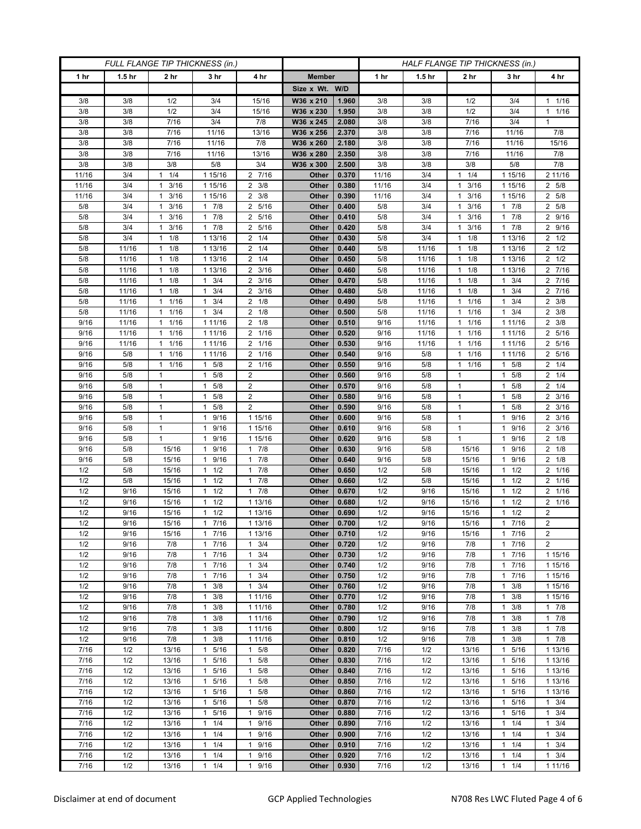| FULL FLANGE TIP THICKNESS (in.) |                   |                        |                                  |                                           |                        | HALF FLANGE TIP THICKNESS (in.) |              |                   |                                            |                                   |                               |
|---------------------------------|-------------------|------------------------|----------------------------------|-------------------------------------------|------------------------|---------------------------------|--------------|-------------------|--------------------------------------------|-----------------------------------|-------------------------------|
| 1 <sub>hr</sub>                 | 1.5 <sub>hr</sub> | 2 <sub>hr</sub>        | 3 <sub>hr</sub>                  | 4 hr                                      | <b>Member</b>          |                                 | 1 hr         | 1.5 <sub>hr</sub> | 2 <sub>hr</sub>                            | 3 hr                              | 4 hr                          |
|                                 |                   |                        |                                  |                                           | Size x Wt. W/D         |                                 |              |                   |                                            |                                   |                               |
| 3/8                             | 3/8               | 1/2                    | 3/4                              | 15/16                                     | W36 x 210              | 1.960                           | 3/8          | 3/8               | 1/2                                        | 3/4                               | $1 \t1/16$                    |
| 3/8                             | 3/8               | 1/2                    | 3/4                              | 15/16                                     | W36 x 230              | 1.950                           | 3/8          | 3/8               | 1/2                                        | 3/4                               | 11/16                         |
| 3/8                             | 3/8               | 7/16                   | 3/4                              | 7/8                                       | W36 x 245              | 2.080                           | 3/8          | 3/8               | 7/16                                       | 3/4                               | $\mathbf{1}$                  |
| 3/8                             | 3/8               | 7/16                   | 11/16                            | 13/16                                     | W36 x 256              | 2.370                           | 3/8          | 3/8               | 7/16                                       | 11/16                             | 7/8                           |
| 3/8                             | 3/8               | 7/16                   | 11/16                            | 7/8                                       | W36 x 260              | 2.180                           | 3/8          | 3/8               | 7/16                                       | 11/16                             | 15/16                         |
| 3/8<br>3/8                      | 3/8<br>3/8        | 7/16<br>3/8            | 11/16<br>5/8                     | 13/16<br>3/4                              | W36 x 280<br>W36 x 300 | 2.350<br>2.500                  | 3/8<br>3/8   | 3/8<br>3/8        | 7/16<br>3/8                                | 11/16<br>5/8                      | 7/8<br>7/8                    |
| 11/16                           | 3/4               | 1/4<br>1               | 1 15/16                          | 2 7/16                                    | Other                  | 0.370                           | 11/16        | 3/4               | 1/4<br>$\mathbf{1}$                        | 1 15/16                           | 2 11/16                       |
| 11/16                           | 3/4               | 3/16<br>1              | 1 15/16                          | $\overline{2}$<br>3/8                     | Other                  | 0.380                           | 11/16        | 3/4               | 3/16<br>$\mathbf{1}$                       | 1 15/16                           | 2 5/8                         |
| 11/16                           | 3/4               | 3/16<br>1              | 1 15/16                          | $2 \frac{3}{8}$                           | Other                  | 0.390                           | 11/16        | 3/4               | 3/16<br>$\mathbf{1}$                       | 1 15/16                           | 2 5/8                         |
| 5/8                             | 3/4               | 3/16<br>1              | $1 \t7/8$                        | 5/16<br>2                                 | Other                  | 0.400                           | 5/8          | 3/4               | 3/16<br>$\mathbf{1}$                       | $1 \t7/8$                         | 2 5/8                         |
| 5/8                             | 3/4               | 3/16<br>1              | 7/8<br>$\mathbf{1}$              | 5/16<br>2                                 | Other                  | 0.410                           | 5/8          | 3/4               | 3/16<br>$\mathbf{1}$                       | 7/8                               | 2 9/16                        |
| 5/8                             | 3/4               | 3/16<br>1              | $1 \t7/8$                        | 5/16<br>$\overline{2}$                    | Other                  | 0.420                           | 5/8          | 3/4               | 3/16<br>1                                  | 17/8                              | 2 9/16                        |
| 5/8                             | 3/4               | 1/8<br>$\mathbf{1}$    | 1 13/16                          | $2 \t1/4$                                 | Other                  | 0.430                           | 5/8          | 3/4               | 1/8<br>$\mathbf{1}$                        | 1 13/16                           | $2 \frac{1}{2}$               |
| 5/8                             | 11/16             | 1/8<br>1               | 1 13/16                          | 1/4<br>2                                  | Other                  | 0.440                           | 5/8          | 11/16             | 1/8<br>$\mathbf 1$                         | 1 13/16                           | $2 \frac{1}{2}$               |
| 5/8                             | 11/16             | 1/8<br>1               | 1 13/16                          | $\overline{2}$<br>1/4                     | Other                  | 0.450                           | 5/8          | 11/16             | 1/8<br>$\mathbf{1}$                        | 1 13/16                           | $2 \frac{1}{2}$               |
| 5/8<br>5/8                      | 11/16             | 1/8<br>1               | 1 13/16                          | 3/16<br>2<br>$2 \frac{3}{16}$             | Other<br>Other         | 0.460<br>0.470                  | 5/8<br>5/8   | 11/16<br>11/16    | 1/8<br>$\mathbf{1}$<br>1/8<br>$\mathbf{1}$ | 1 13/16<br>$1 \t3/4$              | 2 7/16<br>2 7/16              |
| 5/8                             | 11/16<br>11/16    | $1 \t1/8$<br>$1 \t1/8$ | $1 \t3/4$<br>3/4<br>1            | 3/16<br>2                                 | Other                  | 0.480                           | 5/8          | 11/16             | 1/8<br>1                                   | 3/4<br>1.                         | 2 7/16                        |
| 5/8                             | 11/16             | 1/16<br>1              | 3/4<br>1                         | 1/8<br>2                                  | Other                  | 0.490                           | 5/8          | 11/16             | 1/16<br>$\mathbf{1}$                       | 3/4<br>1                          | $2 \frac{3}{8}$               |
| 5/8                             | 11/16             | 11/16                  | $1 \t3/4$                        | $2 \t1/8$                                 | Other                  | 0.500                           | 5/8          | 11/16             | 1/16<br>$\mathbf{1}$                       | 3/4<br>1                          | $2 \frac{3}{8}$               |
| 9/16                            | 11/16             | $1 \t1/16$             | 1 11/16                          | $2 \t1/8$                                 | Other                  | 0.510                           | 9/16         | 11/16             | 1/16<br>$\mathbf{1}$                       | 1 1 1 / 16                        | $2 \frac{3}{8}$               |
| 9/16                            | 11/16             | 1/16<br>1              | 1 11/16                          | 2<br>1/16                                 | Other                  | 0.520                           | 9/16         | 11/16             | 1/16<br>$\mathbf{1}$                       | 1 11/16                           | 2 5/16                        |
| 9/16                            | 11/16             | 1/16<br>$\mathbf{1}$   | 1 11/16                          | $2 \t1/16$                                | Other                  | 0.530                           | 9/16         | 11/16             | 1/16<br>$\mathbf{1}$                       | 1 11/16                           | 2 5/16                        |
| 9/16                            | 5/8               | $1 \t1/16$             | 1 11/16                          | 2 1/16                                    | Other                  | 0.540                           | 9/16         | 5/8               | 1/16<br>$\mathbf{1}$                       | 1 1 1 / 1 6                       | 2 5/16                        |
| 9/16                            | 5/8               | 1/16<br>1              | 5/8<br>1                         | 2<br>1/16                                 | Other                  | 0.550                           | 9/16         | 5/8               | 1/16<br>$\mathbf{1}$                       | 5/8<br>1                          | $2 \t1/4$                     |
| 9/16                            | 5/8               | $\mathbf{1}$           | 5/8<br>$\mathbf{1}$              | $\overline{2}$                            | Other                  | 0.560                           | 9/16         | 5/8               | $\mathbf{1}$                               | 5/8<br>1                          | $2 \t1/4$                     |
| 9/16<br>9/16                    | 5/8<br>5/8        | $\mathbf{1}$<br>1      | $\mathbf{1}$<br>5/8<br>5/8<br>-1 | $\overline{\mathbf{c}}$<br>$\overline{2}$ | Other<br>Other         | 0.570<br>0.580                  | 9/16<br>9/16 | 5/8<br>5/8        | $\mathbf{1}$<br>$\mathbf{1}$               | 5/8<br>1<br>5/8<br>1              | $2 \t1/4$<br>$2 \frac{3}{16}$ |
| 9/16                            | 5/8               | $\mathbf{1}$           | 5/8<br>1                         | $\overline{2}$                            | Other                  | 0.590                           | 9/16         | 5/8               | $\mathbf{1}$                               | 5/8<br>-1                         | $2 \frac{3}{16}$              |
| 9/16                            | 5/8               | $\mathbf{1}$           | $\mathbf{1}$<br>9/16             | 1 15/16                                   | Other                  | 0.600                           | 9/16         | 5/8               | $\mathbf{1}$                               | 9/16<br>1                         | $2 \frac{3}{16}$              |
| 9/16                            | 5/8               | $\mathbf{1}$           | 9/16<br>1                        | 1 15/16                                   | Other                  | 0.610                           | 9/16         | 5/8               | $\mathbf{1}$                               | 9/16<br>1                         | $2 \frac{3}{16}$              |
| 9/16                            | 5/8               | $\mathbf{1}$           | 9/16<br>1                        | 1 15/16                                   | Other                  | 0.620                           | 9/16         | 5/8               | $\mathbf{1}$                               | 9/16<br>1                         | $2 \t1/8$                     |
| 9/16                            | 5/8               | 15/16                  | 1<br>9/16                        | 7/8<br>$\mathbf{1}$                       | Other                  | 0.630                           | 9/16         | 5/8               | 15/16                                      | 9/16                              | $2 \t1/8$                     |
| 9/16                            | 5/8               | 15/16                  | 9/16<br>1                        | 7/8<br>1                                  | Other                  | 0.640                           | 9/16         | 5/8               | 15/16                                      | 9/16<br>1                         | $2 \t1/8$                     |
| 1/2                             | 5/8               | 15/16                  | 1/2<br>1                         | 7/8<br>1                                  | Other                  | 0.650                           | 1/2          | 5/8               | 15/16                                      | 1/2<br>1                          | 2 1/16                        |
| 1/2                             | 5/8               | 15/16                  | 1/2<br>$\mathbf{1}$              | 7/8<br>1                                  | Other                  | 0.660                           | 1/2          | 5/8               | 15/16                                      | 1/2                               | 2 1/16                        |
| 1/2<br>1/2                      | 9/16<br>9/16      | 15/16<br>15/16         | 1/2<br>1<br>1/2<br>$\mathbf{1}$  | 7/8<br>$\mathbf{1}$<br>1 13/16            | Other<br>Other         | 0.670<br>0.680                  | 1/2<br>1/2   | 9/16<br>9/16      | 15/16<br>15/16                             | 1/2<br>1<br>1/2<br>1              | 2 1/16<br>2 1/16              |
| 1/2                             | 9/16              | 15/16                  | 1/2<br>$\mathbf{1}$              | 1 13/16                                   | Other                  | 0.690                           | 1/2          | 9/16              | 15/16                                      | 1/2                               | 2                             |
| 1/2                             | 9/16              | 15/16                  | 1 7/16                           | 1 13/16                                   | Other                  | 0.700                           | 1/2          | 9/16              | 15/16                                      | 7/16<br>$\mathbf{1}$              | $\overline{2}$                |
| 1/2                             | 9/16              | 15/16                  | 17/16                            | 1 13/16                                   | Other                  | 0.710                           | 1/2          | 9/16              | 15/16                                      | 17/16                             | 2                             |
| 1/2                             | 9/16              | 7/8                    | 17/16                            | 3/4<br>$\mathbf{1}$                       | Other                  | 0.720                           | 1/2          | 9/16              | 7/8                                        | 17/16                             | $\overline{2}$                |
| 1/2                             | 9/16              | 7/8                    | 17/16                            | 3/4<br>1                                  | Other                  | 0.730                           | 1/2          | 9/16              | 7/8                                        | 1 7/16                            | 1 15/16                       |
| 1/2                             | 9/16              | 7/8                    | 7/16<br>$\mathbf{1}$             | 3/4<br>$\mathbf{1}$                       | Other                  | 0.740                           | 1/2          | 9/16              | 7/8                                        | 7/16<br>$\mathbf{1}$              | 1 15/16                       |
| 1/2                             | 9/16              | 7/8                    | 17/16                            | 3/4<br>$\mathbf{1}$                       | Other                  | 0.750                           | 1/2          | 9/16              | 7/8                                        | 7/16<br>1                         | 1 15/16                       |
| 1/2                             | 9/16              | 7/8                    | $\mathbf{1}$<br>3/8              | 3/4<br>$\mathbf{1}$                       | Other                  | 0.760                           | 1/2          | 9/16              | 7/8                                        | 3/8<br>$\mathbf{1}$               | 1 15/16                       |
| 1/2<br>1/2                      | 9/16<br>9/16      | 7/8<br>7/8             | 3/8<br>1<br>3/8<br>$\mathbf{1}$  | 1 11/16<br>1 11/16                        | Other<br>Other         | 0.770<br>0.780                  | 1/2<br>1/2   | 9/16<br>9/16      | 7/8<br>7/8                                 | 3/8<br>3/8<br>1                   | 1 15/16<br>17/8               |
| 1/2                             | 9/16              | 7/8                    | 3/8<br>$\mathbf{1}$              | 1 11/16                                   | Other                  | 0.790                           | 1/2          | 9/16              | 7/8                                        | $1 \t3/8$                         | 17/8                          |
| 1/2                             | 9/16              | 7/8                    | 3/8<br>1                         | 1 11/16                                   | Other                  | 0.800                           | 1/2          | 9/16              | 7/8                                        | 3/8<br>1                          | 17/8                          |
| 1/2                             | 9/16              | 7/8                    | $\mathbf{1}$<br>3/8              | 1 11/16                                   | Other                  | 0.810                           | 1/2          | 9/16              | 7/8                                        | 3/8<br>$\mathbf{1}$               | 17/8                          |
| 7/16                            | 1/2               | 13/16                  | 1 5/16                           | 5/8<br>$\mathbf{1}$                       | Other                  | 0.820                           | 7/16         | 1/2               | 13/16                                      | 5/16<br>$\mathbf{1}$              | 1 13/16                       |
| 7/16                            | 1/2               | 13/16                  | 5/16<br>1                        | 5/8<br>1                                  | Other                  | 0.830                           | 7/16         | 1/2               | 13/16                                      | 5/16<br>1                         | 1 13/16                       |
| 7/16                            | 1/2               | 13/16                  | 5/16<br>$\mathbf{1}$             | 5/8<br>$\mathbf{1}$                       | Other                  | 0.840                           | 7/16         | 1/2               | 13/16                                      | 5/16<br>1                         | 1 13/16                       |
| 7/16                            | 1/2               | 13/16                  | $\mathbf{1}$<br>5/16             | 5/8<br>$\mathbf{1}$                       | Other                  | 0.850                           | 7/16         | 1/2               | 13/16                                      | 5/16<br>$\mathbf{1}$              | 1 13/16                       |
| 7/16<br>7/16                    | 1/2<br>1/2        | 13/16<br>13/16         | 1 5/16<br>5/16<br>$\mathbf{1}$   | 5/8<br>1<br>5/8<br>1                      | Other<br>Other         | 0.860<br>0.870                  | 7/16<br>7/16 | 1/2<br>1/2        | 13/16<br>13/16                             | 5/16<br>$\mathbf{1}$<br>5/16<br>1 | 1 13/16<br>$1 \t3/4$          |
| 7/16                            | 1/2               | 13/16                  | 1 5/16                           | 9/16<br>$\mathbf{1}$                      | Other                  | 0.880                           | 7/16         | 1/2               | 13/16                                      | 5/16<br>1                         | $1 \t3/4$                     |
| 7/16                            | 1/2               | 13/16                  | $1 \t1/4$                        | 9/16<br>$\mathbf{1}$                      | Other                  | 0.890                           | 7/16         | 1/2               | 13/16                                      | 1/4<br>$\mathbf{1}$               | $1 \t3/4$                     |
| 7/16                            | 1/2               | 13/16                  | 1/4<br>$\mathbf{1}$              | 9/16<br>$\mathbf{1}$                      | Other                  | 0.900                           | 7/16         | 1/2               | 13/16                                      | 1/4<br>$\mathbf{1}$               | $1 \t3/4$                     |
| 7/16                            | 1/2               | 13/16                  | $1 \t1/4$                        | 9/16<br>1                                 | Other                  | 0.910                           | 7/16         | 1/2               | 13/16                                      | 1/4<br>1                          | $1 \t3/4$                     |
| 7/16                            | 1/2               | 13/16                  | 1/4<br>$\mathbf{1}$              | 9/16<br>1                                 | Other                  | 0.920                           | 7/16         | 1/2               | 13/16                                      | 1/4<br>1                          | $1 \t3/4$                     |
| 7/16                            | 1/2               | 13/16                  | $1 \t1/4$                        | 9/16<br>$\mathbf{1}$                      | Other                  | 0.930                           | 7/16         | 1/2               | 13/16                                      | $\mathbf{1}$<br>1/4               | 1 11/16                       |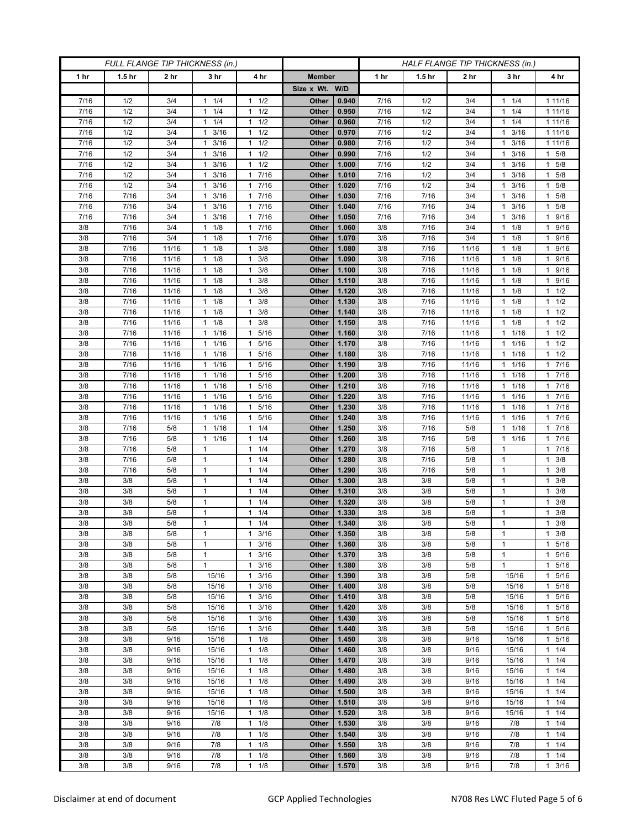| <b>FULL FLANGE TIP THICKNESS (in.)</b> |                   |                 |                              |                                            | HALF FLANGE TIP THICKNESS (in.) |                |            |                   |                 |                      |                                |
|----------------------------------------|-------------------|-----------------|------------------------------|--------------------------------------------|---------------------------------|----------------|------------|-------------------|-----------------|----------------------|--------------------------------|
| 1 hr                                   | 1.5 <sub>hr</sub> | 2 <sub>hr</sub> | 3 <sub>hr</sub>              | 4 hr                                       | <b>Member</b>                   |                | 1 hr       | 1.5 <sub>hr</sub> | 2 <sub>hr</sub> | 3 hr                 | 4 hr                           |
|                                        |                   |                 |                              |                                            | Size x Wt. W/D                  |                |            |                   |                 |                      |                                |
| 7/16                                   | 1/2               | 3/4             | 1/4<br>1                     | 1/2<br>$\mathbf{1}$                        | Other                           | 0.940          | 7/16       | 1/2               | 3/4             | 1/4<br>1             | 1 11/16                        |
| 7/16                                   | 1/2               | 3/4             | 1/4<br>$\mathbf{1}$          | 1/2<br>$\mathbf{1}$                        | Other                           | 0.950          | 7/16       | 1/2               | 3/4             | 1/4<br>1             | 1 11/16                        |
| 7/16                                   | 1/2               | 3/4             | 1/4<br>$\mathbf{1}$          | 1/2<br>1                                   | Other                           | 0.960          | 7/16       | 1/2               | 3/4             | $1 \t1/4$            | 1 11/16                        |
| 7/16                                   | 1/2               | 3/4             | 3/16<br>1                    | 1/2<br>$\mathbf{1}$                        | Other                           | 0.970          | 7/16       | 1/2               | 3/4             | 3/16                 | 1 11/16                        |
| 7/16                                   | 1/2               | 3/4             | 3/16<br>$\mathbf{1}$         | 1/2<br>$\mathbf{1}$                        | Other                           | 0.980          | 7/16       | 1/2               | 3/4             | 3/16<br>1            | 1 1 1 / 1 6                    |
| 7/16                                   | 1/2               | 3/4             | 3/16<br>$\mathbf{1}$         | $\mathbf{1}$<br>1/2                        | Other                           | 0.990          | 7/16       | 1/2               | 3/4             | 3/16<br>1            | $1 \t5/8$                      |
| 7/16                                   | 1/2               | 3/4             | 3/16<br>1                    | 1/2<br>$\mathbf{1}$                        | Other                           | 1.000          | 7/16       | 1/2               | 3/4             | 3/16                 | 5/8<br>$\mathbf{1}$            |
| 7/16                                   | 1/2               | 3/4             | 3/16<br>$\mathbf{1}$         | 7/16<br>$\mathbf{1}$                       | Other                           | 1.010          | 7/16       | 1/2               | 3/4             | 3/16<br>1            | $1 \t5/8$                      |
| 7/16                                   | 1/2               | 3/4             | $\mathbf{1}$<br>3/16         | 7/16<br>$\mathbf{1}$                       | Other                           | 1.020          | 7/16       | 1/2               | 3/4             | 3/16<br>1            | 1 5/8                          |
| 7/16                                   | 7/16              | 3/4             | 3/16<br>-1                   | 7/16<br>1                                  | Other                           | 1.030          | 7/16       | 7/16              | 3/4             | 3/16<br>1            | 5/8<br>$\mathbf{1}$            |
| 7/16                                   | 7/16              | 3/4             | 3/16<br>$\mathbf{1}$         | 7/16<br>$\mathbf{1}$                       | Other                           | 1.040          | 7/16       | 7/16              | 3/4             | 3/16<br>1            | 5/8<br>$\mathbf{1}$            |
| 7/16                                   | 7/16              | 3/4             | $\mathbf{1}$<br>3/16         | 7/16<br>$\mathbf{1}$                       | Other                           | 1.050          | 7/16       | 7/16              | 3/4             | 3/16<br>1            | 1 9/16                         |
| 3/8                                    | 7/16<br>7/16      | 3/4<br>3/4      | 1/8<br>1<br>1                | 7/16<br>$\mathbf{1}$<br>7/16               | Other                           | 1.060          | 3/8        | 7/16              | 3/4<br>3/4      | 1/8<br>1<br>1/8      | 9/16<br>1<br>1 9/16            |
| 3/8<br>3/8                             | 7/16              | 11/16           | 1/8<br>1/8<br>$\mathbf{1}$   | $\mathbf{1}$<br>3/8<br>$\mathbf{1}$        | Other<br>Other                  | 1.070<br>1.080 | 3/8<br>3/8 | 7/16<br>7/16      | 11/16           | 1<br>1/8<br>1        | 9/16<br>$\mathbf{1}$           |
| 3/8                                    | 7/16              | 11/16           | 1/8<br>$\mathbf{1}$          | 3/8<br>$\mathbf{1}$                        | Other                           | 1.090          | 3/8        | 7/16              | 11/16           | 1/8<br>1             | 1 9/16                         |
| 3/8                                    | 7/16              | 11/16           | 1/8<br>$\mathbf{1}$          | 3/8<br>$\mathbf{1}$                        | Other                           | 1.100          | 3/8        | 7/16              | 11/16           | 1/8<br>1             | 1 9/16                         |
| 3/8                                    | 7/16              | 11/16           | $\mathbf{1}$<br>1/8          | 3/8<br>1                                   | Other                           | 1.110          | 3/8        | 7/16              | 11/16           | 1/8                  | 1 9/16                         |
| 3/8                                    | 7/16              | 11/16           | 1/8<br>$\mathbf{1}$          | 3/8<br>$\mathbf{1}$                        | Other                           | 1.120          | 3/8        | 7/16              | 11/16           | 1/8<br>1             | $1 \t1/2$                      |
| 3/8                                    | 7/16              | 11/16           | 1/8<br>$\mathbf{1}$          | 3/8<br>1                                   | Other                           | 1.130          | 3/8        | 7/16              | 11/16           | 1/8<br>1             | $1 \t1/2$                      |
| 3/8                                    | 7/16              | 11/16           | 1/8<br>1                     | 3/8<br>1                                   | Other                           | 1.140          | 3/8        | 7/16              | 11/16           | 1/8<br>1             | $1 \t1/2$                      |
| 3/8                                    | 7/16              | 11/16           | 1/8<br>1                     | 3/8<br>1                                   | Other                           | 1.150          | 3/8        | 7/16              | 11/16           | 1/8<br>1             | $1 \t1/2$                      |
| 3/8                                    | 7/16              | 11/16           | 1/16<br>1                    | 5/16<br>$\mathbf{1}$                       | Other                           | 1.160          | 3/8        | 7/16              | 11/16           | 1/16<br>1            | $1 \t1/2$                      |
| 3/8                                    | 7/16              | 11/16           | $1 \t1/16$                   | 5/16<br>$\mathbf{1}$                       | Other                           | 1.170          | 3/8        | 7/16              | 11/16           | 1/16<br>$\mathbf{1}$ | $1 \t1/2$                      |
| 3/8                                    | 7/16              | 11/16           | 1 1/16                       | 5/16<br>1                                  | Other                           | 1.180          | 3/8        | 7/16              | 11/16           | 1/16<br>1            | $1 \t1/2$                      |
| 3/8                                    | 7/16              | 11/16           | 1/16<br>$\mathbf{1}$         | 5/16<br>$\mathbf{1}$                       | Other                           | 1.190          | 3/8        | 7/16              | 11/16           | 1/16<br>1            | 7/16<br>$\mathbf{1}$           |
| 3/8                                    | 7/16              | 11/16           | 11/16                        | 5/16<br>$\mathbf{1}$                       | <b>Other</b>                    | 1.200          | 3/8        | 7/16              | 11/16           | 1/16<br>1            | 17/16                          |
| 3/8                                    | 7/16              | 11/16           | 1 1/16                       | 5/16<br>1                                  | Other                           | 1.210          | 3/8        | 7/16              | 11/16           | $1 \t1/16$           | 17/16                          |
| 3/8<br>3/8                             | 7/16<br>7/16      | 11/16<br>11/16  | 1/16<br>1                    | 5/16<br>1<br>5/16<br>$\mathbf{1}$          | Other<br><b>Other</b>           | 1.220<br>1.230 | 3/8<br>3/8 | 7/16<br>7/16      | 11/16           | 1/16<br>1/16         | 7/16<br>$\mathbf{1}$<br>17/16  |
| 3/8                                    | 7/16              | 11/16           | 1 1/16<br>1 1/16             | 5/16<br>1                                  | <b>Other</b>                    | 1.240          | 3/8        | 7/16              | 11/16<br>11/16  | 1<br>1 1/16          | 17/16                          |
| 3/8                                    | 7/16              | 5/8             | 1/16<br>1                    | 1/4<br>1                                   | Other                           | 1.250          | 3/8        | 7/16              | 5/8             | 1/16<br>1            | 7/16<br>$\mathbf{1}$           |
| 3/8                                    | 7/16              | 5/8             | 11/16                        | 1/4<br>$\mathbf{1}$                        | <b>Other</b>                    | 1.260          | 3/8        | 7/16              | 5/8             | 1/16<br>$\mathbf{1}$ | 17/16                          |
| 3/8                                    | 7/16              | 5/8             | $\mathbf{1}$                 | 1/4<br>$\mathbf{1}$                        | Other                           | 1.270          | 3/8        | 7/16              | 5/8             | 1                    | 17/16                          |
| 3/8                                    | 7/16              | 5/8             | $\mathbf{1}$                 | 1/4<br>$\mathbf{1}$                        | Other                           | 1.280          | 3/8        | 7/16              | 5/8             | 1                    | $1 \t3/8$                      |
| 3/8                                    | 7/16              | 5/8             | $\mathbf{1}$                 | 1/4<br>$\mathbf{1}$                        | Other                           | 1.290          | 3/8        | 7/16              | 5/8             | $\mathbf{1}$         | $1 \t3/8$                      |
| 3/8                                    | 3/8               | 5/8             | $\mathbf{1}$                 | $\mathbf{1}$<br>1/4                        | Other                           | 1.300          | 3/8        | 3/8               | 5/8             | $\mathbf{1}$         | $1 \t3/8$                      |
| 3/8                                    | 3/8               | 5/8             | $\mathbf{1}$                 | 1/4<br>$\mathbf{1}$                        | Other                           | 1.310          | 3/8        | 3/8               | 5/8             | $\mathbf{1}$         | $1 \t3/8$                      |
| 3/8                                    | 3/8               | 5/8             | $\mathbf{1}$                 | 1/4<br>$\mathbf{1}$                        | Other                           | 1.320          | 3/8        | 3/8               | 5/8             | $\mathbf{1}$         | $1 \t3/8$                      |
| 3/8                                    | 3/8               | 5/8             | $\mathbf{1}$                 | 1/4<br>$\mathbf{1}$                        | Other                           | 1.330          | 3/8        | 3/8               | 5/8             | 1                    | 3/8<br>$\mathbf{1}$            |
| 3/8                                    | 3/8               | 5/8             | $\mathbf{1}$                 | 1/4<br>$\mathbf{1}$                        | Other                           | 1.340          | 3/8        | 3/8               | 5/8             | $\mathbf{1}$         | 3/8<br>$\mathbf{1}$            |
| 3/8                                    | 3/8               | 5/8             | 1                            | 3/16<br>$\mathbf{1}$                       | Other                           | 1.350          | 3/8        | 3/8               | 5/8             | $\mathbf{1}$         | $1 \t3/8$                      |
| 3/8                                    | 3/8               | 5/8             | $\mathbf{1}$<br>$\mathbf{1}$ | $\mathbf{1}$<br>3/16<br>$\mathbf{1}$       | Other                           | 1.360<br>1.370 | 3/8        | 3/8               | 5/8<br>5/8      | 1                    | 1<br>5/16                      |
| 3/8<br>3/8                             | 3/8<br>3/8        | 5/8<br>5/8      | $\mathbf{1}$                 | 3/16<br>3/16<br>$\mathbf{1}$               | Other<br>Other                  | 1.380          | 3/8<br>3/8 | 3/8<br>3/8        | 5/8             | 1<br>$\mathbf{1}$    | 5/16<br>$\mathbf{1}$<br>1 5/16 |
| 3/8                                    | 3/8               | 5/8             | 15/16                        | 3/16<br>$\mathbf{1}$                       | Other                           | 1.390          | 3/8        | 3/8               | 5/8             | 15/16                | 5/16<br>$\mathbf{1}$           |
| 3/8                                    | 3/8               | 5/8             | 15/16                        | 3/16<br>1                                  | Other                           | 1.400          | 3/8        | 3/8               | 5/8             | 15/16                | 5/16<br>$\mathbf{1}$           |
| 3/8                                    | 3/8               | 5/8             | 15/16                        | 3/16<br>$\mathbf{1}$                       | Other                           | 1.410          | 3/8        | 3/8               | 5/8             | 15/16                | 5/16<br>$\mathbf{1}$           |
| 3/8                                    | 3/8               | 5/8             | 15/16                        | 3/16<br>$\mathbf{1}$                       | Other                           | 1.420          | 3/8        | 3/8               | 5/8             | 15/16                | 1 5/16                         |
| 3/8                                    | 3/8               | 5/8             | 15/16                        | 3/16<br>1                                  | Other                           | 1.430          | 3/8        | 3/8               | 5/8             | 15/16                | 1 5/16                         |
| 3/8                                    | 3/8               | 5/8             | 15/16                        | 3/16<br>$\mathbf{1}$                       | Other                           | 1.440          | 3/8        | 3/8               | 5/8             | 15/16                | 5/16<br>$\mathbf{1}$           |
| 3/8                                    | 3/8               | 9/16            | 15/16                        | 1/8<br>$\mathbf{1}$                        | Other                           | 1.450          | 3/8        | 3/8               | 9/16            | 15/16                | 1 5/16                         |
| 3/8                                    | 3/8               | 9/16            | 15/16                        | 1/8<br>$\mathbf{1}$                        | Other                           | 1.460          | 3/8        | 3/8               | 9/16            | 15/16                | $1 \t1/4$                      |
| 3/8                                    | 3/8               | 9/16            | 15/16                        | 1/8<br>$\mathbf{1}$                        | Other                           | 1.470          | 3/8        | 3/8               | 9/16            | 15/16                | $1 \t1/4$                      |
| 3/8                                    | 3/8               | 9/16            | 15/16                        | $\mathbf{1}$<br>1/8                        | Other                           | 1.480          | 3/8        | 3/8               | 9/16            | 15/16                | 11/4                           |
| 3/8                                    | 3/8               | 9/16            | 15/16                        | 1/8<br>$\mathbf{1}$                        | Other                           | 1.490          | 3/8        | 3/8               | 9/16            | 15/16                | $1 \t1/4$                      |
| 3/8                                    | 3/8               | 9/16            | 15/16                        | 1/8<br>$\mathbf{1}$                        | Other                           | 1.500          | 3/8        | 3/8               | 9/16            | 15/16                | 11/4                           |
| 3/8<br>3/8                             | 3/8<br>3/8        | 9/16<br>9/16    | 15/16<br>15/16               | 1/8<br>$\mathbf{1}$<br>1/8<br>$\mathbf{1}$ | Other<br>Other                  | 1.510<br>1.520 | 3/8<br>3/8 | 3/8<br>3/8        | 9/16<br>9/16    | 15/16<br>15/16       | $1 \t1/4$<br>11/4              |
| 3/8                                    | 3/8               | 9/16            | 7/8                          | 1/8<br>$\mathbf{1}$                        | Other                           | 1.530          | 3/8        | 3/8               | 9/16            | 7/8                  | $1 \t1/4$                      |
| 3/8                                    | 3/8               | 9/16            | 7/8                          | 1/8<br>$\mathbf{1}$                        | Other                           | 1.540          | 3/8        | 3/8               | 9/16            | 7/8                  | $1 \t1/4$                      |
| 3/8                                    | 3/8               | 9/16            | 7/8                          | 1/8<br>$\mathbf{1}$                        | <b>Other</b>                    | 1.550          | 3/8        | 3/8               | 9/16            | 7/8                  | $1 \t1/4$                      |
| 3/8                                    | 3/8               | 9/16            | 7/8                          | 1/8<br>$\mathbf{1}$                        | Other                           | 1.560          | 3/8        | 3/8               | 9/16            | 7/8                  | $1 \t1/4$                      |
| 3/8                                    | 3/8               | 9/16            | 7/8                          | 1/8<br>1                                   | Other                           | 1.570          | 3/8        | 3/8               | 9/16            | 7/8                  | $1 \t3/16$                     |